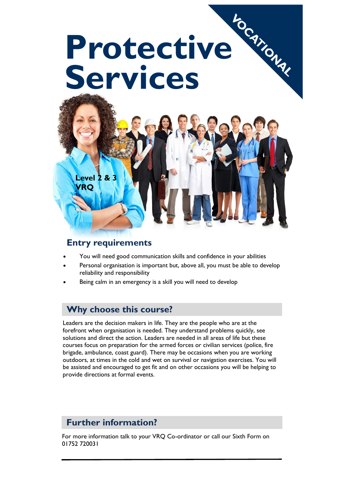

#### **Entry requirements**

- You will need good communication skills and confidence in your abilities
- Personal organisation is important but, above all, you must be able to develop reliability and responsibility
- Being calm in an emergency is a skill you will need to develop

### **Why choose this course?**

Leaders are the decision makers in life. They are the people who are at the forefront when organisation is needed. They understand problems quickly, see solutions and direct the action. Leaders are needed in all areas of life but these courses focus on preparation for the armed forces or civilian services (police, fire brigade, ambulance, coast guard). There may be occasions when you are working outdoors, at times in the cold and wet on survival or navigation exercises. You will be assisted and encouraged to get fit and on other occasions you will be helping to provide directions at formal events.

# **Further information?**

For more information talk to your VRQ Co-ordinator or call our Sixth Form on 01752 720031